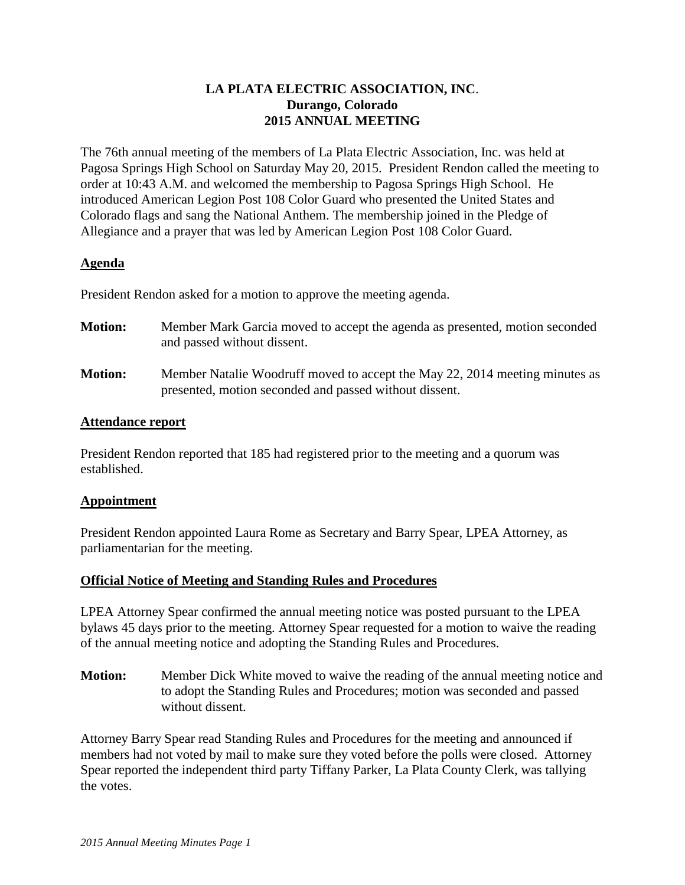# **LA PLATA ELECTRIC ASSOCIATION, INC**. **Durango, Colorado 2015 ANNUAL MEETING**

The 76th annual meeting of the members of La Plata Electric Association, Inc. was held at Pagosa Springs High School on Saturday May 20, 2015. President Rendon called the meeting to order at 10:43 A.M. and welcomed the membership to Pagosa Springs High School. He introduced American Legion Post 108 Color Guard who presented the United States and Colorado flags and sang the National Anthem. The membership joined in the Pledge of Allegiance and a prayer that was led by American Legion Post 108 Color Guard.

# **Agenda**

President Rendon asked for a motion to approve the meeting agenda.

| <b>Motion:</b> | Member Mark Garcia moved to accept the agenda as presented, motion seconded<br>and passed without dissent.                            |
|----------------|---------------------------------------------------------------------------------------------------------------------------------------|
| <b>Motion:</b> | Member Natalie Woodruff moved to accept the May 22, 2014 meeting minutes as<br>presented, motion seconded and passed without dissent. |

# **Attendance report**

President Rendon reported that 185 had registered prior to the meeting and a quorum was established.

# **Appointment**

President Rendon appointed Laura Rome as Secretary and Barry Spear, LPEA Attorney, as parliamentarian for the meeting.

# **Official Notice of Meeting and Standing Rules and Procedures**

LPEA Attorney Spear confirmed the annual meeting notice was posted pursuant to the LPEA bylaws 45 days prior to the meeting. Attorney Spear requested for a motion to waive the reading of the annual meeting notice and adopting the Standing Rules and Procedures.

**Motion:** Member Dick White moved to waive the reading of the annual meeting notice and to adopt the Standing Rules and Procedures; motion was seconded and passed without dissent.

Attorney Barry Spear read Standing Rules and Procedures for the meeting and announced if members had not voted by mail to make sure they voted before the polls were closed. Attorney Spear reported the independent third party Tiffany Parker, La Plata County Clerk, was tallying the votes.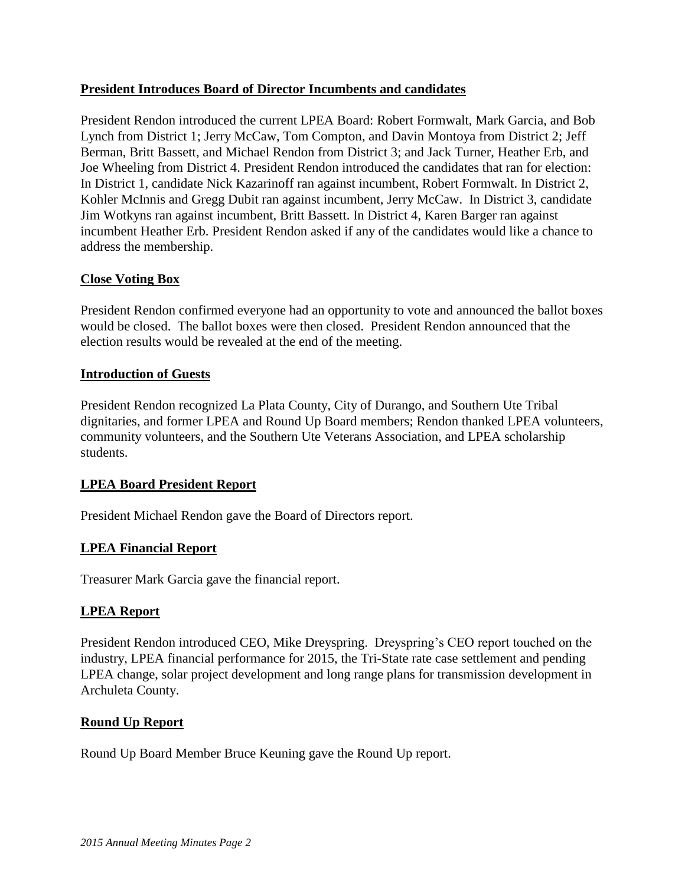# **President Introduces Board of Director Incumbents and candidates**

President Rendon introduced the current LPEA Board: Robert Formwalt, Mark Garcia, and Bob Lynch from District 1; Jerry McCaw, Tom Compton, and Davin Montoya from District 2; Jeff Berman, Britt Bassett, and Michael Rendon from District 3; and Jack Turner, Heather Erb, and Joe Wheeling from District 4. President Rendon introduced the candidates that ran for election: In District 1, candidate Nick Kazarinoff ran against incumbent, Robert Formwalt. In District 2, Kohler McInnis and Gregg Dubit ran against incumbent, Jerry McCaw. In District 3, candidate Jim Wotkyns ran against incumbent, Britt Bassett. In District 4, Karen Barger ran against incumbent Heather Erb. President Rendon asked if any of the candidates would like a chance to address the membership.

# **Close Voting Box**

President Rendon confirmed everyone had an opportunity to vote and announced the ballot boxes would be closed. The ballot boxes were then closed. President Rendon announced that the election results would be revealed at the end of the meeting.

# **Introduction of Guests**

President Rendon recognized La Plata County, City of Durango, and Southern Ute Tribal dignitaries, and former LPEA and Round Up Board members; Rendon thanked LPEA volunteers, community volunteers, and the Southern Ute Veterans Association, and LPEA scholarship students.

# **LPEA Board President Report**

President Michael Rendon gave the Board of Directors report.

# **LPEA Financial Report**

Treasurer Mark Garcia gave the financial report.

# **LPEA Report**

President Rendon introduced CEO, Mike Dreyspring. Dreyspring's CEO report touched on the industry, LPEA financial performance for 2015, the Tri-State rate case settlement and pending LPEA change, solar project development and long range plans for transmission development in Archuleta County.

# **Round Up Report**

Round Up Board Member Bruce Keuning gave the Round Up report.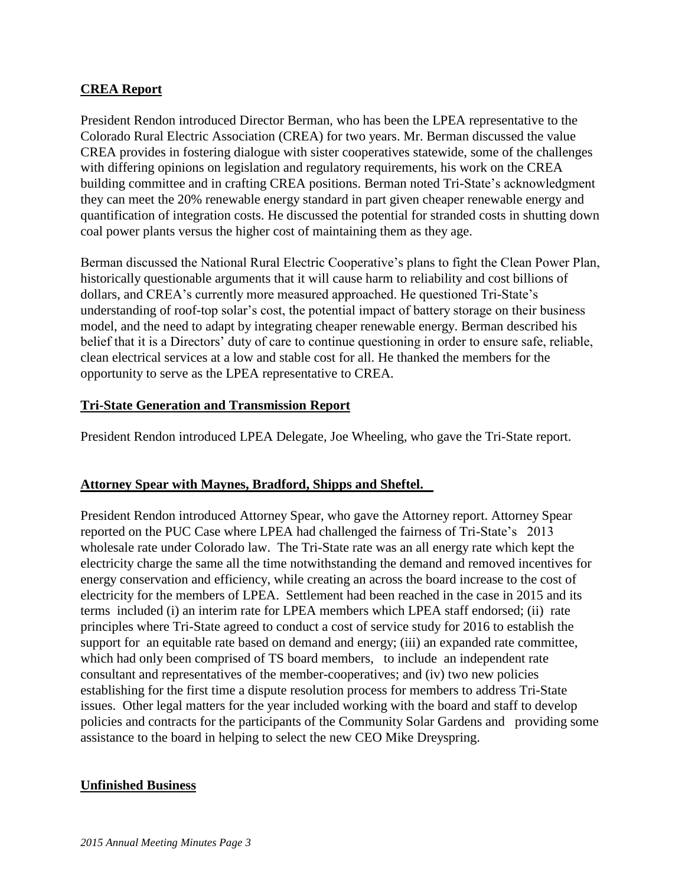#### **CREA Report**

President Rendon introduced Director Berman, who has been the LPEA representative to the Colorado Rural Electric Association (CREA) for two years. Mr. Berman discussed the value CREA provides in fostering dialogue with sister cooperatives statewide, some of the challenges with differing opinions on legislation and regulatory requirements, his work on the CREA building committee and in crafting CREA positions. Berman noted Tri-State's acknowledgment they can meet the 20% renewable energy standard in part given cheaper renewable energy and quantification of integration costs. He discussed the potential for stranded costs in shutting down coal power plants versus the higher cost of maintaining them as they age.

Berman discussed the National Rural Electric Cooperative's plans to fight the Clean Power Plan, historically questionable arguments that it will cause harm to reliability and cost billions of dollars, and CREA's currently more measured approached. He questioned Tri-State's understanding of roof-top solar's cost, the potential impact of battery storage on their business model, and the need to adapt by integrating cheaper renewable energy. Berman described his belief that it is a Directors' duty of care to continue questioning in order to ensure safe, reliable, clean electrical services at a low and stable cost for all. He thanked the members for the opportunity to serve as the LPEA representative to CREA.

#### **Tri-State Generation and Transmission Report**

President Rendon introduced LPEA Delegate, Joe Wheeling, who gave the Tri-State report.

#### **Attorney Spear with Maynes, Bradford, Shipps and Sheftel.**

President Rendon introduced Attorney Spear, who gave the Attorney report. Attorney Spear reported on the PUC Case where LPEA had challenged the fairness of Tri-State's 2013 wholesale rate under Colorado law. The Tri-State rate was an all energy rate which kept the electricity charge the same all the time notwithstanding the demand and removed incentives for energy conservation and efficiency, while creating an across the board increase to the cost of electricity for the members of LPEA. Settlement had been reached in the case in 2015 and its terms included (i) an interim rate for LPEA members which LPEA staff endorsed; (ii) rate principles where Tri-State agreed to conduct a cost of service study for 2016 to establish the support for an equitable rate based on demand and energy; (iii) an expanded rate committee, which had only been comprised of TS board members, to include an independent rate consultant and representatives of the member-cooperatives; and (iv) two new policies establishing for the first time a dispute resolution process for members to address Tri-State issues. Other legal matters for the year included working with the board and staff to develop policies and contracts for the participants of the Community Solar Gardens and providing some assistance to the board in helping to select the new CEO Mike Dreyspring.

#### **Unfinished Business**